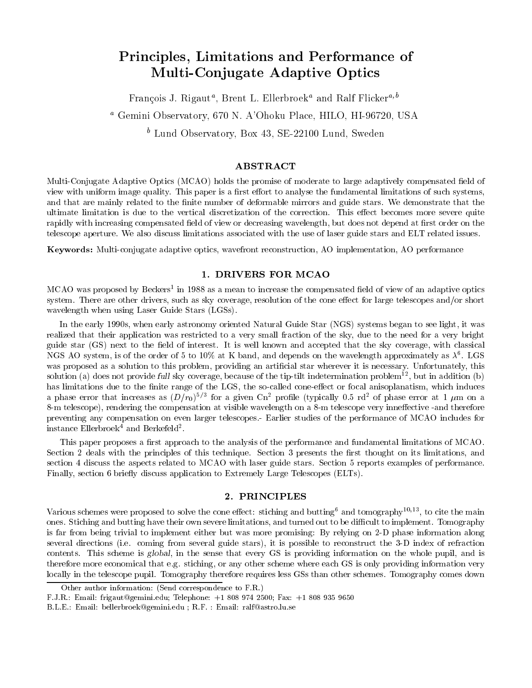# Principles, Limitations and Performance of Multi-Conjugate Adaptive Optics

 $\Gamma$ rançois J. Rigaut", Drent L. Ellerbroek" and Ralf Flicker $\gamma$ <sup>a</sup> Gemini Observatory, 670 N. A'Ohoku Place, HILO, HI-96720, USA  $\pm$  Lund Observatory, Box 45, SE-22100 Lund, Sweden

## ABSTRACT

Multi-Conjugate Adaptive Optics (MCAO) holds the promise of moderate to large adaptively compensated field of view with uniform image quality. This paper is a first effort to analyse the fundamental limitations of such systems, and that are mainly related to the finite number of deformable mirrors and guide stars. We demonstrate that the ultimate limitation is due to the vertical discretization of the correction. This effect becomes more severe quite rapidly with increasing compensated field of view or decreasing wavelength, but does not depend at first order on the telescope aperture. We also discuss limitations associated with the use of laser guide stars and ELT related issues.

Keywords: Multi-conjugate adaptive optics, wavefront reconstruction, AO implementation, AO performance

# 1. DRIVERS FOR MCAO

MCAO was proposed by Beckers1 in 1988 as a mean to increase the compensated eld of view of an adaptive optics system. There are other drivers, such as sky coverage, resolution of the cone effect for large telescopes and/or short wavelength when using Laser Guide Stars (LGSs).

In the early 1990s, when early astronomy oriented Natural Guide Star (NGS) systems began to see light, it was realized that their application was restricted to a very small fraction of the sky, due to the need for a very bright guide star (GS) next to the field of interest. It is well known and accepted that the sky coverage, with classical NGS AO system, is of the order of 5 to 10% at K band, and depends on the wavelength approximately as  $\lambda^*$ . LGS was proposed as a solution to this problem, providing an artificial star wherever it is necessary. Unfortunately, this solution (a) does not provide full sky coverage, because of the tip-tilt indetermination problem<sup>12</sup>, but in addition (b) has limitations due to the finite range of the LGS, the so-called cone-effect or focal anisoplanatism, which induces a phase error that increases as  $(D/T_0)^{\gamma}=101$  a given On prome (typically 0.5 rd  $-$  of phase error at 1  $\mu$ m on a 8-m telescope), rendering the compensation at visible wavelength on a 8-m telescope very inneffective -and therefore preventing any compensation on even larger telescopes.- Earlier studies of the performance of MCAO includes for instance Ellerbroek<sup>4</sup> and Berkefeld<sup>2</sup>.

This paper proposes a first approach to the analysis of the performance and fundamental limitations of MCAO. Section 2 deals with the principles of this technique. Section 3 presents the first thought on its limitations, and section 4 discuss the aspects related to MCAO with laser guide stars. Section 5 reports examples of performance. Finally, section 6 briefly discuss application to Extremely Large Telescopes (ELTs).

# 2. PRINCIPLES

Various schemes were proposed to solve the cone effect: stiching and butting<sup>6</sup> and tomography<sup>10,13</sup>, to cite the main ones. Stiching and butting have their own severe limitations, and turned out to be difficult to implement. Tomography is far from being trivial to implement either but was more promising: By relying on 2-D phase information along several directions (i.e. coming from several guide stars), it is possible to reconstruct the 3-D index of refraction contents. This scheme is global, in the sense that every GS is providing information on the whole pupil, and is therefore more economical that e.g. stiching, or any other scheme where each GS is only providing information very locally in the telescope pupil. Tomography therefore requires less GSs than other schemes. Tomography comes down

Other author information: (Send correspondence to F.R.)

F.J.R.: Email: frigaut@gemini.edu; Telephone: +1 808 974 2500; Fax: +1 808 935 9650

B.L.E.: Email: bellerbroek@gemini.edu ; R.F. : Email: ralf@astro.lu.se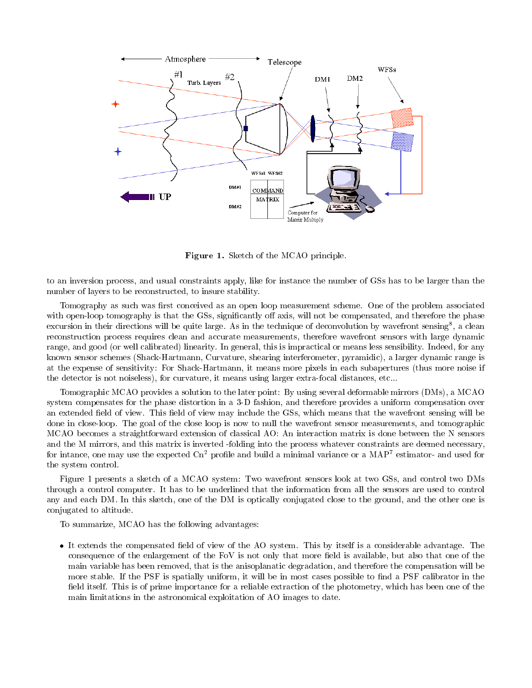

Figure 1. Sketch of the MCAO principle.

to an inversion process, and usual constraints apply, like for instance the number of GSs has to be larger than the number of layers to be reconstructed, to insure stability.

Tomography as such was first conceived as an open loop measurement scheme. One of the problem associated with open-loop tomography is that the GSs, significantly off axis, will not be compensated, and therefore the phase excursion in their directions will be quite large. As in the technique of deconvolution by wavefront sensing , a clean reconstruction process requires clean and accurate measurements, therefore wavefront sensors with large dynamic range, and good (or well calibrated) linearity. In general, this is impractical or means less sensibility. Indeed, for any known sensor schemes (Shack-Hartmann, Curvature, shearing interferometer, pyramidic), a larger dynamic range is at the expense of sensitivity: For Shack-Hartmann, it means more pixels in each subapertures (thus more noise if the detector is not noiseless), for curvature, it means using larger extra-focal distances, etc...

Tomographic MCAO provides a solution to the later point: By using several deformable mirrors (DMs), a MCAO system compensates for the phase distortion in a 3-D fashion, and therefore provides a uniform compensation over an extended field of view. This field of view may include the GSs, which means that the wavefront sensing will be done in close-loop. The goal of the close loop is now to null the wavefront sensor measurements, and tomographic MCAO becomes a straightforward extension of classical AO: An interaction matrix is done between the N sensors and the M mirrors, and this matrix is inverted -folding into the process whatever constraints are deemed necessary, for intance, one may use the expected  $\text{Cn}^2$  profile and build a minimal variance or a MAP<sup>7</sup> estimator- and used for the system control.

Figure 1 presents a sketch of a MCAO system: Two wavefront sensors look at two GSs, and control two DMs through a control computer. It has to be underlined that the information from all the sensors are used to control any and each DM. In this sketch, one of the DM is optically conjugated close to the ground, and the other one is conjugated to altitude.

To summarize, MCAO has the following advantages:

• It extends the compensated field of view of the AO system. This by itself is a considerable advantage. The consequence of the enlargement of the FoV is not only that more field is available, but also that one of the main variable has been removed, that is the anisoplanatic degradation, and therefore the compensation will be more stable. If the PSF is spatially uniform, it will be in most cases possible to find a PSF calibrator in the field itself. This is of prime importance for a reliable extraction of the photometry, which has been one of the main limitations in the astronomical exploitation of AO images to date.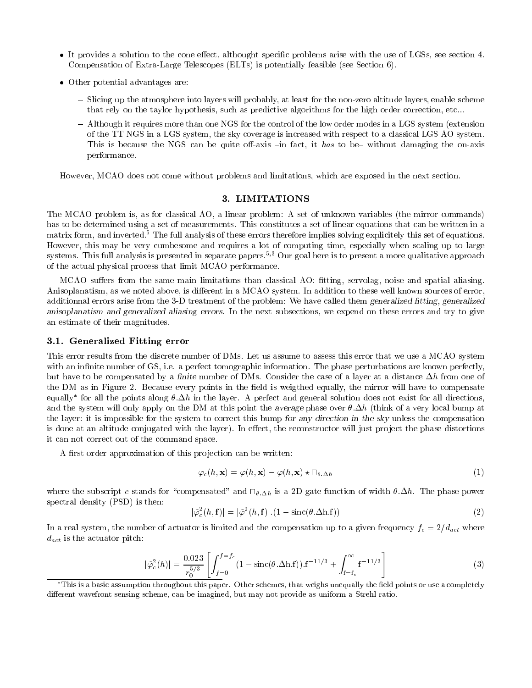- $\bullet$  It provides a solution to the cone effect, althought specific problems arise with the use of LGSs, see section 4. Compensation of Extra-Large Telescopes (ELTs) is potentially feasible (see Section 6).
- Other potential advantages are:
	- { Slicing up the atmosphere into layers will probably, at least for the non-zero altitude layers, enable scheme that rely on the taylor hypothesis, such as predictive algorithms for the high order correction, etc...
	- { Although it requires more than one NGS for the control of the low order modes in a LGS system (extension of the TT NGS in a LGS system, the sky coverage is increased with respect to a classical LGS AO system. This is because the NGS can be quite off-axis  $\text{-}$ in fact, it has to be $\text{-}$  without damaging the on-axis performance.

However, MCAO does not come without problems and limitations, which are exposed in the next section.

# 3. LIMITATIONS

The MCAO problem is, as for classical AO, a linear problem: A set of unknown variables (the mirror commands) has to be determined using a set of measurements. This constitutes a set of linear equations that can be written in a matrix form, and inverted.5 The full analysis of these errors therefore implies solving explicitely this set of equations. However, this may be very cumbesome and requires a lot of computing time, especially when scaling up to large systems. This full analysis is presented in separate papers.<sup>5,3</sup> Our goal here is to present a more qualitative approach of the actual physical process that limit MCAO performance.

MCAO suffers from the same main limitations than classical AO: fitting, servolag, noise and spatial aliasing. Anisoplanatism, as we noted above, is different in a MCAO system. In addition to these well known sources of error, additionnal errors arise from the 3-D treatment of the problem: We have called them generalized fitting, generalized anisoplanatism and generalized aliasing errors. In the next subsections, we expend on these errors and try to give an estimate of their magnitudes.

### 3.1. Generalized Fitting error

This error results from the discrete number of DMs. Let us assume to assess this error that we use a MCAO system with an infinite number of GS, i.e. a perfect tomographic information. The phase perturbations are known perfectly, but have to be compensated by a finite number of DMs. Consider the case of a layer at a distance  $\Delta h$  from one of the DM as in Figure 2. Because every points in the field is weigthed equally, the mirror will have to compensate equally for all the points along  $\sigma.\Delta n$  in the layer. A perfect and general solution does not exist for all directions, and the system will only apply on the DM at this point the average phase over  $\theta.\Delta h$  (think of a very local bump at the layer: it is impossible for the system to correct this bump for any direction in the sky unless the compensation is done at an altitude conjugated with the layer). In effect, the reconstructor will just project the phase distortions it can not correct out of the command space.

A first order approximation of this projection can be written:

$$
\varphi_c(h, \mathbf{x}) = \varphi(h, \mathbf{x}) - \varphi(h, \mathbf{x}) \star \Box_{\theta \cdot \Delta h} \tag{1}
$$

where the subscript c stands for "compensated" and  $\Box_{\theta,\Delta h}$  is a 2D gate function of width  $\theta.\Delta h$ . The phase power spectral density (PSD) is then:

$$
|\tilde{\varphi}_c^2(h, \mathbf{f})| = |\tilde{\varphi}^2(h, \mathbf{f})|.(1 - \operatorname{sinc}(\theta. \Delta h.f))
$$
\n(2)

In a real system, the number of actuator is limited and the compensation up to a given frequency  $f_c = 2/d_{act}$  where  $d_{act}$  is the actuator pitch:

$$
|\tilde{\varphi}_c^2(h)| = \frac{0.023}{r_0^{5/3}} \left[ \int_{f=0}^{f=f_c} (1 - \text{sinc}(\theta \cdot \Delta h.f)) . f^{-11/3} + \int_{f=f_c}^{\infty} f^{-11/3} \right]
$$
(3)

This is a basic assumption throughout this paper. Other schemes, that weighs unequally the eld points or use a completely different wavefront sensing scheme, can be imagined, but may not provide as uniform a Strehl ratio.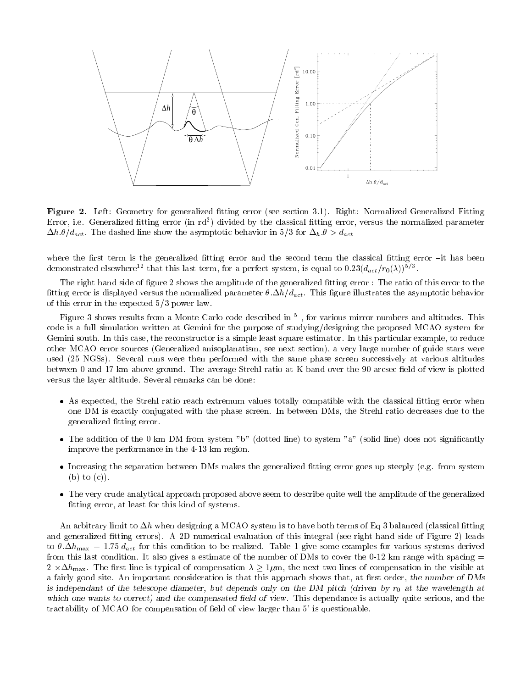

Figure 2. Left: Geometry for generalized tting error (see section 3.1). Right: Normalized Generalized Fitting Error, i.e. Generalized tting error (in rd2 ) divided by the classical tting error, versus the normalized parameter  $\Delta h.\theta/d_{act}$ . The dashed line show the asymptotic behavior in 5/3 for  $\Delta_h.\theta > d_{act}$ 

where the first term is the generalized fitting error and the second term the classical fitting error  $-i$ t has been demonstrated elsewhere  $\tau$  that this last term, for a perfect system, is equal to 0.23( $a_{act}/r_0(\lambda)$ )  $\tau$  .  $\tau$ 

The right hand side of figure 2 shows the amplitude of the generalized fitting error : The ratio of this error to the fitting error is displayed versus the normalized parameter  $\theta.\Delta h/d_{act}$ . This figure illustrates the asymptotic behavior of this error in the expected 5/3 power law.

Figure 3 shows results from a Monte Carlo code described in <sup>5</sup> , for various mirror numbers and altitudes. This code is a full simulation written at Gemini for the purpose of studying/designing the proposed MCAO system for Gemini south. In this case, the reconstructor is a simple least square estimator. In this particular example, to reduce other MCAO error sources (Generalized anisoplanatism, see next section), a very large number of guide stars were used (25 NGSs). Several runs were then performed with the same phase screen successively at various altitudes between 0 and 17 km above ground. The average Strehl ratio at K band over the 90 arcsec field of view is plotted versus the layer altitude. Several remarks can be done:

- As expected, the Strehl ratio reach extremum values totally compatible with the classical fitting error when one DM is exactly conjugated with the phase screen. In between DMs, the Strehl ratio decreases due to the generalized fitting error.
- The addition of the 0 km DM from system "b" (dotted line) to system "a" (solid line) does not signicantly improve the performance in the 4-13 km region.
- Increasing the separation between DMs makes the generalized fitting error goes up steeply (e.g. from system (b) to (c)).
- The very crude analytical approach proposed above seem to describe quite well the amplitude of the generalized fitting error, at least for this kind of systems.

An arbitrary limit to  $\Delta h$  when designing a MCAO system is to have both terms of Eq 3 balanced (classical fitting and generalized tting errors). A 2D numerical evaluation of this integral (see right hand side of Figure 2) leads to  $\theta$ .  $\Delta h_{\text{max}} = 1.75 d_{act}$  for this condition to be realized. Table 1 give some examples for various systems derived from this last condition. It also gives a estimate of the number of DMs to cover the 0-12 km range with spacing  $=$  $\sim$  1  $\sim$  100  $\mu$  and the next two lines of compensation is the next two lines of compensation is the visible at  $\mu$ a fairly good site. An important consideration is that this approach shows that, at first order, the number of DMs is independant of the telescope diameter, but depends only on the DM pitch(driven by r0 at the wavelength at which one wants to correct) and the compensated field of view. This dependance is actually quite serious, and the tractability of MCAO for compensation of field of view larger than  $5'$  is questionable.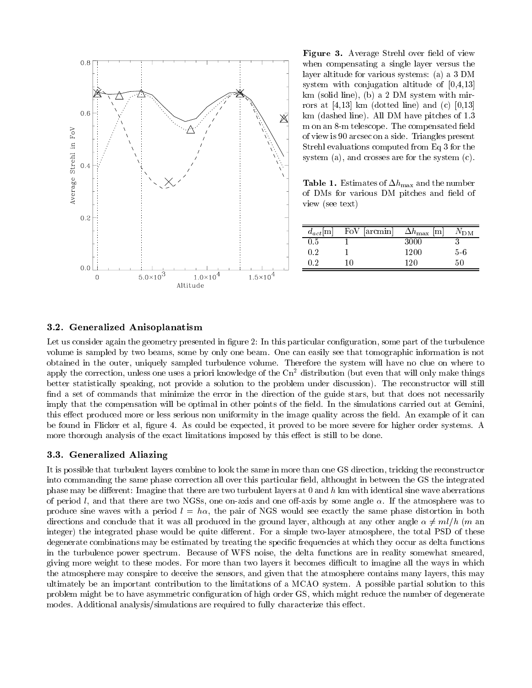

 $\blacksquare$  . Average street over  $\blacksquare$  . Average street of view  $\blacksquare$ when compensating a single layer versus the layer altitude for various systems: (a) a 3 DM system with conjugation altitude of [0,4,13] km (solid line), (b) a 2 DM system with mirrors at  $[4,13]$  km (dotted line) and (c)  $[0,13]$ km (dashed line). All DM have pitches of 1.3 m on an 8-m telescope. The compensated field of view is 90 arcsec on a side. Triangles present Strehl evaluations computed from Eq 3 for the system (a), and crosses are for the system (c).

**Table 1.** Estimates of  $\Delta n_{\text{max}}$  and the number of DMs for various DM pitches and field of view (see text)

| ١m,<br>$ a_{act} $ | [arcmin]<br>$_{\mathrm{FoV}}$ | m<br>$-\Delta h_{\rm max}$ | DM    |
|--------------------|-------------------------------|----------------------------|-------|
| U 5                |                               |                            | ల     |
| 9.2                |                               | ' 200                      | 56    |
| റ                  |                               | -26                        | ו ור. |

# 3.2. Generalized Anisoplanatism

Let us consider again the geometry presented in figure 2: In this particular configuration, some part of the turbulence volume is sampled by two beams, some by only one beam. One can easily see that tomographic information is not obtained in the outer, uniquely sampled turbulence volume. Therefore the system will have no clue on where to apply the correction, unless one uses a priori knowledge of the  $Cn<sup>2</sup>$  distribution (but even that will only make things better statistically speaking, not provide a solution to the problem under discussion). The reconstructor will still find a set of commands that minimize the error in the direction of the guide stars, but that does not necessarily imply that the compensation will be optimal in other points of the field. In the simulations carried out at Gemini, this effect produced more or less serious non uniformity in the image quality across the field. An example of it can be found in Flicker et al, figure 4. As could be expected, it proved to be more severe for higher order systems. A more thorough analysis of the exact limitations imposed by this effect is still to be done.

# 3.3. Generalized Aliazing

It is possible that turbulent layers combine to look the same in more than one GS direction, tricking the reconstructor into commanding the same phase correction all over this particular field, althought in between the GS the integrated phase may be different: Imagine that there are two turbulent layers at 0 and  $h$  km with identical sine wave aberrations of period l, and that there are two NGSs, one on-axis and one off-axis by some angle  $\alpha$ . If the atmosphere was to produce sine waves with a period  $l = h\alpha$ , the pair of NGS would see exactly the same phase distortion in both directions and conclude that it was all produced in the ground layer, although at any other angle  $\alpha \neq ml/h$  (m an integer) the integrated phase would be quite different. For a simple two-layer atmosphere, the total PSD of these degenerate combinations may be estimated by treating the specific frequencies at which they occur as delta functions in the turbulence power spectrum. Because of WFS noise, the delta functions are in reality somewhat smeared, giving more weight to these modes. For more than two layers it becomes difficult to imagine all the ways in which the atmosphere may conspire to deceive the sensors, and given that the atmosphere contains many layers, this may ultimately be an important contribution to the limitations of a MCAO system. A possible partial solution to this problem might be to have asymmetric configuration of high order GS, which might reduce the number of degenerate modes. Additional analysis/simulations are required to fully characterize this effect.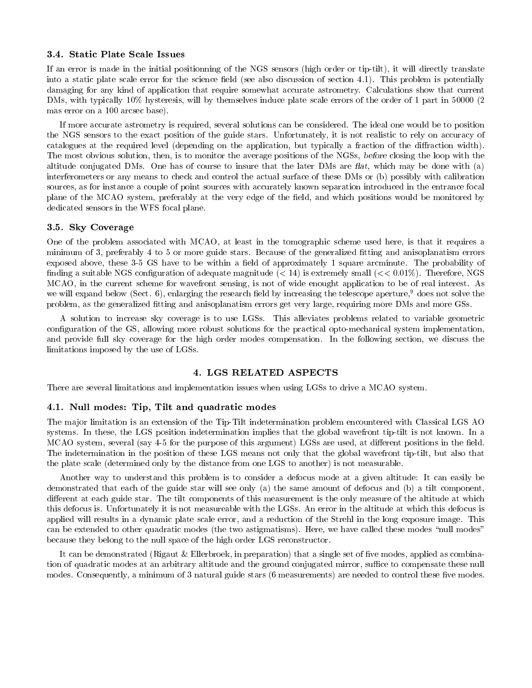## 3.4. Static Plate Scale Issues

If an error is made in the initial positionning of the NGS sensors (high order or tip-tilt), it will directly translate into a static plate scale error for the science field (see also discussion of section  $4.1$ ). This problem is potentially damaging for any kind of application that require somewhat accurate astrometry. Calculations show that current DMs, with typically 10% hysteresis, will by themselves induce plate scale errors of the order of 1 part in 50000 (2 mas error on a 100 arcsec base).

If more accurate astrometry is required, several solutions can be considered. The ideal one would be to position the NGS sensors to the exact position of the guide stars. Unfortunately, it is not realistic to rely on accuracy of catalogues at the required level (depending on the application, but typically a fraction of the diffraction width). The most obvious solution, then, is to monitor the average positions of the NGSs, before closing the loop with the altitude conjugated DMs. One has of course to insure that the later DMs are  $flat$ , which may be done with (a) interferometers or any means to check and control the actual surface of these DMs or (b) possibly with calibration sources, as for instance a couple of point sources with accurately known separation introduced in the entrance focal plane of the MCAO system, preferably at the very edge of the field, and which positions would be monitored by dedicated sensors in the WFS focal plane.

#### 3.5. Sky Coverage

One of the problem associated with MCAO, at least in the tomographic scheme used here, is that it requires a minimum of 3, preferably 4 to 5 or more guide stars. Because of the generalized fitting and anisoplanatism errors exposed above, these 3-5 GS have to be within a field of approximately 1 square arcminute. The probability of finding a suitable NGS configuration of adequate magnitude  $(< 14)$  is extremely small  $(< 0.01\%)$ . Therefore, NGS MCAO, in the current scheme for wavefront sensing, is not of wide enought application to be of real interest. As we will expand below (Sect. 6), enlarging the research field by increasing the telescope aperture,  $9$  does not solve the problem, as the generalized fitting and anisoplanatism errors get very large, requiring more DMs and more GSs.

A solution to increase sky coverage is to use LGSs. This alleviates problems related to variable geometric configuration of the GS, allowing more robust solutions for the practical opto-mechanical system implementation, and provide full sky coverage for the high order modes compensation. In the following section, we discuss the limitations imposed by the use of LGSs.

# 4. LGS RELATED ASPECTS

There are several limitations and implementation issues when using LGSs to drive a MCAO system.

# 4.1. Null modes: Tip, Tilt and quadratic modes

The ma jor limitation is an extension of the Tip-Tilt indetermination problem encountered with Classical LGS AO systems. In these, the LGS position indetermination implies that the global wavefront tip-tilt is not known. In a MCAO system, several (say 4-5 for the purpose of this argument) LGSs are used, at different positions in the field. The indetermination in the position of these LGS means not only that the global wavefront tip-tilt, but also that the plate scale (determined only by the distance from one LGS to another) is not measurable.

Another way to understand this problem is toconsider a defocus mode at a given altitude: It can easily be demonstrated that each of the guide star will see only (a) the same amount of defocus and (b) a tilt component, different at each guide star. The tilt components of this measurement is the only measure of the altitude at which this defocus is. Unfortunately it is not measureable with the LGSs. An error in the altitude at which this defocus is applied will results in a dynamic plate scale error, and a reduction of the Strehl in the long exposure image. This can be extended to other quadratic modes (the two astigmatisms). Here, we have called these modes "null modes" because they belong to the null space of the high order LGS reconstructor.

It can be demonstrated (Rigaut  $&\text{Ellerbroek}$ , in preparation) that a single set of five modes, applied as combination of quadratic modes at an arbitrary altitude and the ground conjugated mirror, suffice to compensate these null modes. Consequently, a minimum of 3 natural guide stars (6 measurements) are needed to control these five modes.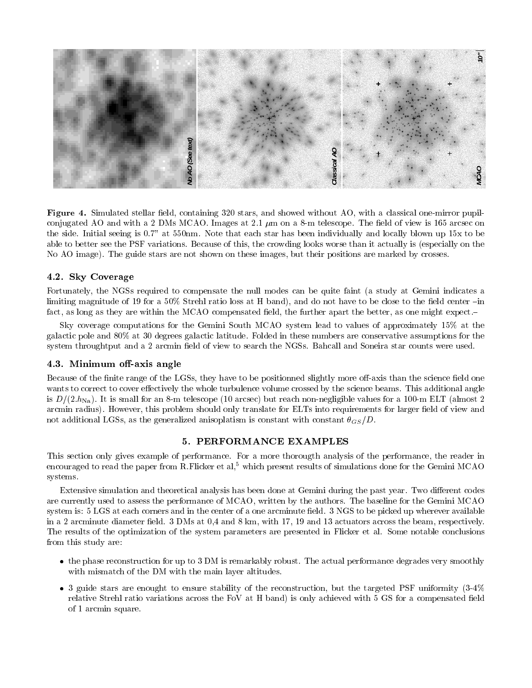

Figure 4. Simulated stellar eld, containing 320 stars, and showed without AO, with a classical one-mirror pupilconjugated AO and with a 2 DMs MCAO. Images at 2.1  $\mu$ m on a 8-m telescope. The field of view is 165 arcsec on the side. Initial seeing is 0.7" at 550nm. Note that each star has been individually and locally blown up 15x to be able to better see the PSF variations. Because of this, the crowding looks worse than it actually is (especially on the No AO image). The guide stars are not shown on these images, but their positions are marked by crosses.

# 4.2. Sky Coverage

Fortunately, the NGSs required to compensate the null modes can be quite faint (a study at Gemini indicates a limiting magnitude of 19 for a  $50\%$  Strehl ratio loss at H band), and do not have to be close to the field center  $-$ in fact, as long as they are within the MCAO compensated field, the further apart the better, as one might expect.

Sky coverage computations for the Gemini South MCAO system lead to values of approximately 15% at the galactic pole and 80% at 30 degrees galactic latitude. Folded in these numbers are conservative assumptions for the system throughtput and a 2 arcmin field of view to search the NGSs. Bahcall and Soneira star counts were used.

## 4.3. Minimum off-axis angle

Because of the finite range of the LGSs, they have to be positionned slightly more off-axis than the science field one wants to correct to cover effectively the whole turbulence volume crossed by the science beams. This additional angle is  $D/(2.h_{\text{Na}})$ . It is small for an 8-m telescope (10 arcsec) but reach non-negligible values for a 100-m ELT (almost 2) arcmin radius). However, this problem should only translate for ELTs into requirements for larger field of view and not additional LGSs, as the generalized anisoplatism is constant with constant  $\theta_{GS}/D$ .

# 5. PERFORMANCE EXAMPLES

This section only gives example of performance. For a more thorougth analysis of the performance, the reader in encouraged to read the paper from R.Flicker et al,<sup>5</sup> which present results of simulations done for the Gemini MCAO systems.

Extensive simulation and theoretical analysis has been done at Gemini during the past year. Two different codes are currently used to assess the performance of MCAO, written by the authors. The baseline for the Gemini MCAO system is: 5 LGS at each corners and in the center of a one arcminute field. 3 NGS to be picked up wherever available in a 2 arcminute diameter field.  $3 \text{ DMs}$  at  $0.4$  and  $8 \text{ km}$ , with 17, 19 and 13 actuators across the beam, respectively. The results of the optimization of the system parameters are presented in Flicker et al. Some notable conclusions from this study are:

- the phase reconstruction for up to 3 DM is remarkably robust. The actual performance degrades very smoothly with mismatch of the DM with the main layer altitudes.
- 3 guide stars are enought to ensure stability of the reconstruction, but the targeted PSF uniformity (3-4% relative Strehl ratio variations across the FoV at H band) is only achieved with 5 GS for a compensated field of 1 arcmin square.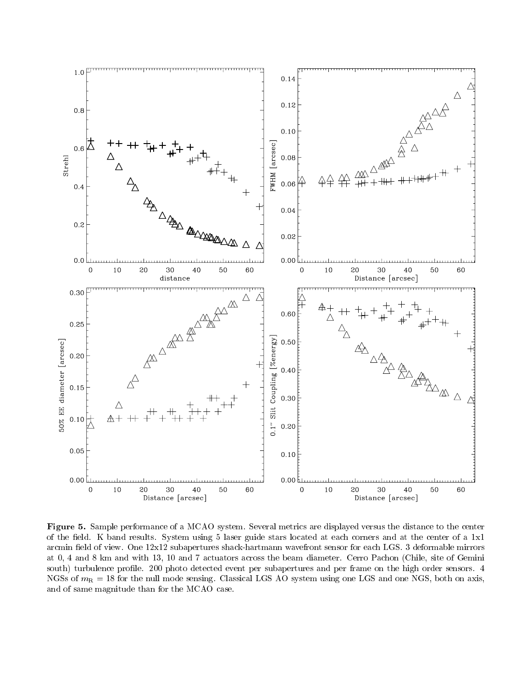

Figure 5. Sample performance of a MCAO system. Several metrics are displayed versus the distance to the center of the field. K band results. System using 5 laser guide stars located at each corners and at the center of a  $1x1$ arcmin field of view. One  $12x12$  subapertures shack-hartmann wavefront sensor for each LGS. 3 deformable mirrors at 0, 4 and 8 km and with 13, 10 and 7 actuators across the beam diameter. Cerro Pachon (Chile, site of Gemini south) turbulence profile. 200 photo detected event per subapertures and per frame on the high order sensors. 4 NGSs of  $m<sub>R</sub> = 18$  for the null mode sensing. Classical LGS AO system using one LGS and one NGS, both on axis, and of same magnitude than for the MCAO case.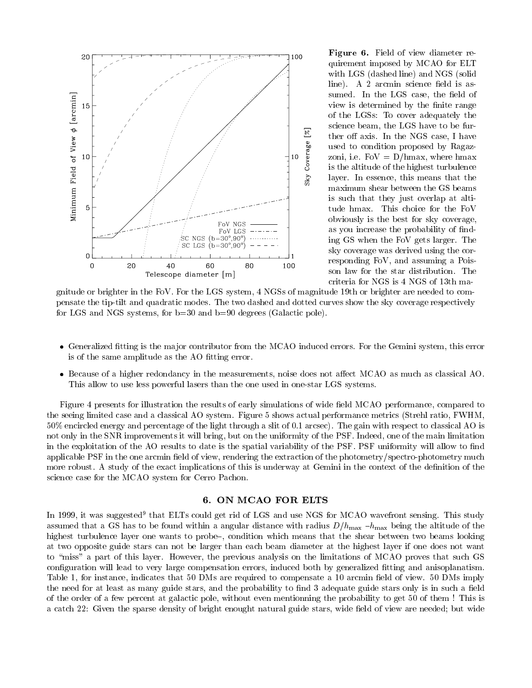

Figure 6. Field of view diameter requirement imposed by MCAO for ELT with LGS (dashed line) and NGS (solid  $line)$ . A 2 arcmin science field is assumed. In the LGS case, the field of view is determined by the finite range of the LGSs: To cover adequately the science beam, the LGS have to be further off axis. In the NGS case, I have used to condition proposed by Ragazzoni, i.e.  $FoV = D/hmax$ , where hmax is the altitude of the highest turbulence layer. In essence, this means that the maximum shear between the GS beams is such that they just overlap at altitude hmax. This choice for the FoV obviously is the best for sky coverage, as you increase the probability of finding GS when the FoV gets larger. The sky coverage was derived using the corresponding FoV, and assuming a Poisson law for the star distribution. The criteria for NGS is 4 NGS of 13th ma-

gnitude or brighter in the FoV. For the LGS system, 4 NGSs of magnitude 19th or brighter are needed to compensate the tip-tilt and quadratic modes. The two dashed and dotted curves show the sky coverage respectively for LGS and NGS systems, for  $b=30$  and  $b=90$  degrees (Galactic pole).

- Generalized fitting is the major contributor from the MCAO induced errors. For the Gemini system, this error is of the same amplitude as the AO fitting error.
- **Because of a higher redondancy in the measurements, noise does not affect MCAO as much as classical AO.** This allow to use less powerful lasers than the one used in one-star LGS systems.

Figure 4 presents for illustration the results of early simulations of wide field MCAO performance, compared to the seeing limited case and a classical AO system. Figure 5 shows actual performance metrics (Strehl ratio, FWHM, 50% encircled energy and percentage of the light through a slit of 0.1 arcsec). The gain with respect to classical AO is not only in the SNR improvements it will bring, but on the uniformity of the PSF. Indeed, one of the main limitation in the exploitation of the AO results to date is the spatial variability of the PSF. PSF uniformity will allow to find applicable PSF in the one arcmin field of view, rendering the extraction of the photometry/spectro-photometry much more robust. A study of the exact implications of this is underway at Gemini in the context of the definition of the science case for the MCAO system for Cerro Pachon.

## 6. ON MCAO FOR ELTS

In 1999, it was suggested that ELTs could get rid of LGS and use NGS for MCAO wavefront sensing. This study assumed that a GS has to be found within a angular distance with radius  $D/h_{\text{max}}$   $-h_{\text{max}}$  being the altitude of the highest turbulence layer one wants to probe<sub>,</sub> condition which means that the shear between two beams looking at two opposite guide stars can not be larger than each beam diameter at the highest layer if one does not want to \miss" a part of this layer. However, the previous analysis on the limitations of MCAO proves that such GS configuration will lead to very large compensation errors, induced both by generalized fitting and anisoplanatism. Table 1, for instance, indicates that 50 DMs are required to compensate a 10 arcmin field of view. 50 DMs imply the need for at least as many guide stars, and the probability to find 3 adequate guide stars only is in such a field of the order of a few percent at galactic pole, without even mentionning the probability to get 50 of them ! This is a catch 22: Given the sparse density of bright enought natural guide stars, wide field of view are needed; but wide